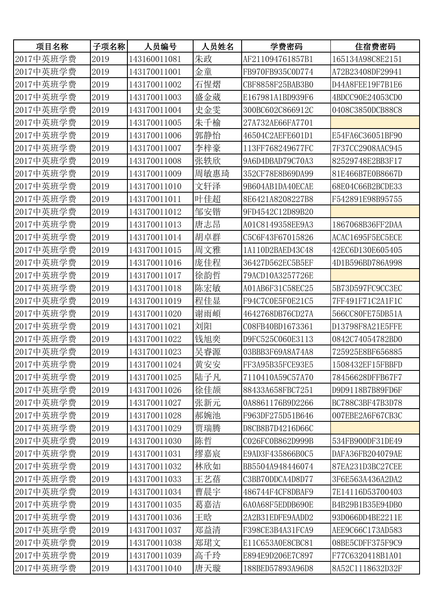| 项目名称      | 子项名称 | 人员编号         | 人员姓名 | 学费密码             | 住宿费密码            |
|-----------|------|--------------|------|------------------|------------------|
| 2017中英班学费 | 2019 | 143160011081 | 朱政   | AF211094761857B1 | 165134A98C8E2151 |
| 2017中英班学费 | 2019 | 143170011001 | 金童   | FB970FB935C0D774 | A72B23408DF29941 |
| 2017中英班学费 | 2019 | 143170011002 | 石惺熠  | CBF8858F25BAB3B0 | D44A8FEE19F7B1E6 |
| 2017中英班学费 | 2019 | 143170011003 | 盛金葳  | E167981A1BD939F6 | 4BDCC90E24053CD0 |
| 2017中英班学费 | 2019 | 143170011004 | 史金雯  | 300BC602C866912C | 0408C3850DCB88C8 |
| 2017中英班学费 | 2019 | 143170011005 | 朱千榆  | 27A732AE66FA7701 |                  |
| 2017中英班学费 | 2019 | 143170011006 | 郭静怡  | 46504C2AEFE601D1 | E54FA6C36051BF90 |
| 2017中英班学费 | 2019 | 143170011007 | 李梓豪  | 113FF768249677FC | 7F37CC2908AAC945 |
| 2017中英班学费 | 2019 | 143170011008 | 张轶欣  | 9A6D4DBAD79C70A3 | 82529748E2BB3F17 |
| 2017中英班学费 | 2019 | 143170011009 | 周敏惠琦 | 352CF78E8B69DA99 | 81E466B7E0B8667D |
| 2017中英班学费 | 2019 | 143170011010 | 文轩泽  | 9B604AB1DA40ECAE | 68E04C66B2BCDE33 |
| 2017中英班学费 | 2019 | 143170011011 | 叶佳超  | 8E6421A8208227B8 | F542891E98B95755 |
| 2017中英班学费 | 2019 | 143170011012 | 邹安锴  | 9FD4542C12D89B20 |                  |
| 2017中英班学费 | 2019 | 143170011013 | 唐志昂  | A01C8149358EE9A3 | 1867068B36FF2DAA |
| 2017中英班学费 | 2019 | 143170011014 | 胡卓群  | C5C6F43F67015826 | ACAC1695F5EC5ECE |
| 2017中英班学费 | 2019 | 143170011015 | 周文雅  | 1A110D2BAED43C48 | 42EC6D130E605405 |
| 2017中英班学费 | 2019 | 143170011016 | 庞佳程  | 36427D562EC5B5EF | 4D1B596BD786A998 |
| 2017中英班学费 | 2019 | 143170011017 | 徐韵哲  | 79ACD10A3257726E |                  |
| 2017中英班学费 | 2019 | 143170011018 | 陈宏敏  | A01AB6F31C58EC25 | 5B73D597FC9CC3EC |
| 2017中英班学费 | 2019 | 143170011019 | 程佳显  | F94C7C0E5F0E21C5 | 7FF491F71C2A1F1C |
| 2017中英班学费 | 2019 | 143170011020 | 谢雨頔  | 4642768DB76CD27A | 566CC80FE75DB51A |
| 2017中英班学费 | 2019 | 143170011021 | 刘阳   | C08FB40BD1673361 | D13798F8A21E5FFE |
| 2017中英班学费 | 2019 | 143170011022 | 钱旭奕  | D9FC525C060E3113 | 0842C74054782BD0 |
| 2017中英班学费 | 2019 | 143170011023 | 吴睿源  | 03BBB3F69A8A74A8 | 725925E8BF656885 |
| 2017中英班学费 | 2019 | 143170011024 | 黄安安  | FF3A95B35FCE93E5 | 1508432EF15FBBFD |
| 2017中英班学费 | 2019 | 143170011025 | 陆子凡  | 7110410A59C57A70 | 78456628DFFB67F7 |
| 2017中英班学费 | 2019 | 143170011026 | 徐佳颉  | 88433A658FBC7251 | D9D9118B7B89FD6F |
| 2017中英班学费 | 2019 | 143170011027 | 张新元  | 0A8861176B9D2266 | BC788C3BF47B3D78 |
| 2017中英班学费 | 2019 | 143170011028 | 郝婉池  | F963DF275D51B646 | 007EBE2A6F67CB3C |
| 2017中英班学费 | 2019 | 143170011029 | 贾瑞腾  | D8CB8B7D4216D66C |                  |
| 2017中英班学费 | 2019 | 143170011030 | 陈哲   | C026FC0B862D999B | 534FB900DF31DE49 |
| 2017中英班学费 | 2019 | 143170011031 | 缪嘉宸  | E9AD3F435866B0C5 | DAFA36FB204079AE |
| 2017中英班学费 | 2019 | 143170011032 | 林欣如  | BB5504A948446074 | 87EA231D3BC27CEE |
| 2017中英班学费 | 2019 | 143170011033 | 王艺蓓  | C3BB70DDCA4D8D77 | 3F6E563A436A2DA2 |
| 2017中英班学费 | 2019 | 143170011034 | 曹晨宇  | 486744F4CF8DBAF9 | 7E14116D53700403 |
| 2017中英班学费 | 2019 | 143170011035 | 葛嘉洁  | 6A0A68F5EDDB690E | B4B29B1B35E94DB0 |
| 2017中英班学费 | 2019 | 143170011036 | 王晗   | 2A2B31EDFE9AADD2 | 93D066DD4BE2211E |
| 2017中英班学费 | 2019 | 143170011037 | 郑益清  | F398CE3B4A31FCA9 | AEE9C66C173AD583 |
| 2017中英班学费 | 2019 | 143170011038 | 郑珺文  | E11C653A0E8CBC81 | 08BE5CDFF375F9C9 |
| 2017中英班学费 | 2019 | 143170011039 | 高千玲  | E894E9D206E7C897 | F77C6320418B1A01 |
| 2017中英班学费 | 2019 | 143170011040 | 唐天璇  | 188BED57893A96D8 | 8A52C1118632D32F |